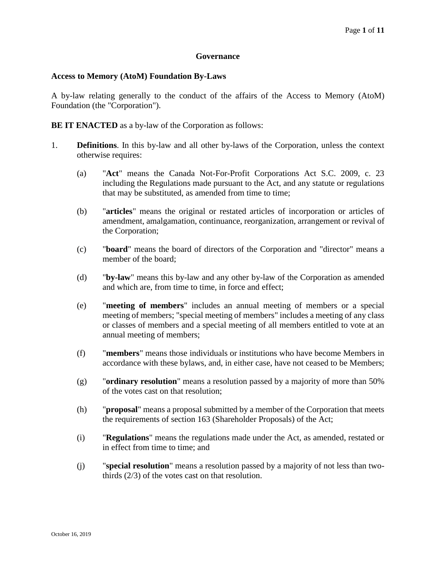## **Governance**

## **Access to Memory (AtoM) Foundation By-Laws**

A by-law relating generally to the conduct of the affairs of the Access to Memory (AtoM) Foundation (the "Corporation").

**BE IT ENACTED** as a by-law of the Corporation as follows:

- 1. **Definitions**. In this by-law and all other by-laws of the Corporation, unless the context otherwise requires:
	- (a) "**Act**" means the Canada Not-For-Profit Corporations Act S.C. 2009, c. 23 including the Regulations made pursuant to the Act, and any statute or regulations that may be substituted, as amended from time to time;
	- (b) "**articles**" means the original or restated articles of incorporation or articles of amendment, amalgamation, continuance, reorganization, arrangement or revival of the Corporation;
	- (c) "**board**" means the board of directors of the Corporation and "director" means a member of the board;
	- (d) "**by-law**" means this by-law and any other by-law of the Corporation as amended and which are, from time to time, in force and effect;
	- (e) "**meeting of members**" includes an annual meeting of members or a special meeting of members; "special meeting of members" includes a meeting of any class or classes of members and a special meeting of all members entitled to vote at an annual meeting of members;
	- (f) "**members**" means those individuals or institutions who have become Members in accordance with these bylaws, and, in either case, have not ceased to be Members;
	- (g) "**ordinary resolution**" means a resolution passed by a majority of more than 50% of the votes cast on that resolution;
	- (h) "**proposal**" means a proposal submitted by a member of the Corporation that meets the requirements of section 163 (Shareholder Proposals) of the Act;
	- (i) "**Regulations**" means the regulations made under the Act, as amended, restated or in effect from time to time; and
	- (j) "**special resolution**" means a resolution passed by a majority of not less than twothirds (2/3) of the votes cast on that resolution.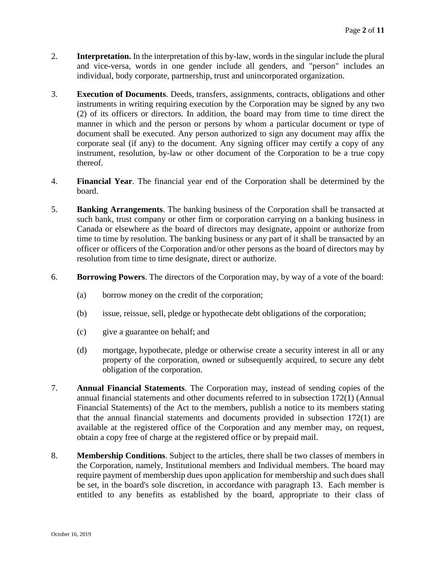- 2. **Interpretation.** In the interpretation of this by-law, words in the singular include the plural and vice-versa, words in one gender include all genders, and "person" includes an individual, body corporate, partnership, trust and unincorporated organization.
- 3. **Execution of Documents**. Deeds, transfers, assignments, contracts, obligations and other instruments in writing requiring execution by the Corporation may be signed by any two (2) of its officers or directors. In addition, the board may from time to time direct the manner in which and the person or persons by whom a particular document or type of document shall be executed. Any person authorized to sign any document may affix the corporate seal (if any) to the document. Any signing officer may certify a copy of any instrument, resolution, by-law or other document of the Corporation to be a true copy thereof.
- 4. **Financial Year**. The financial year end of the Corporation shall be determined by the board.
- 5. **Banking Arrangements**. The banking business of the Corporation shall be transacted at such bank, trust company or other firm or corporation carrying on a banking business in Canada or elsewhere as the board of directors may designate, appoint or authorize from time to time by resolution. The banking business or any part of it shall be transacted by an officer or officers of the Corporation and/or other persons as the board of directors may by resolution from time to time designate, direct or authorize.
- 6. **Borrowing Powers**. The directors of the Corporation may, by way of a vote of the board:
	- (a) borrow money on the credit of the corporation;
	- (b) issue, reissue, sell, pledge or hypothecate debt obligations of the corporation;
	- (c) give a guarantee on behalf; and
	- (d) mortgage, hypothecate, pledge or otherwise create a security interest in all or any property of the corporation, owned or subsequently acquired, to secure any debt obligation of the corporation.
- 7. **Annual Financial Statements**. The Corporation may, instead of sending copies of the annual financial statements and other documents referred to in subsection 172(1) (Annual Financial Statements) of the Act to the members, publish a notice to its members stating that the annual financial statements and documents provided in subsection 172(1) are available at the registered office of the Corporation and any member may, on request, obtain a copy free of charge at the registered office or by prepaid mail.
- 8. **Membership Conditions**. Subject to the articles, there shall be two classes of members in the Corporation, namely, Institutional members and Individual members. The board may require payment of membership dues upon application for membership and such dues shall be set, in the board's sole discretion, in accordance with paragraph [13.](#page-3-0) Each member is entitled to any benefits as established by the board, appropriate to their class of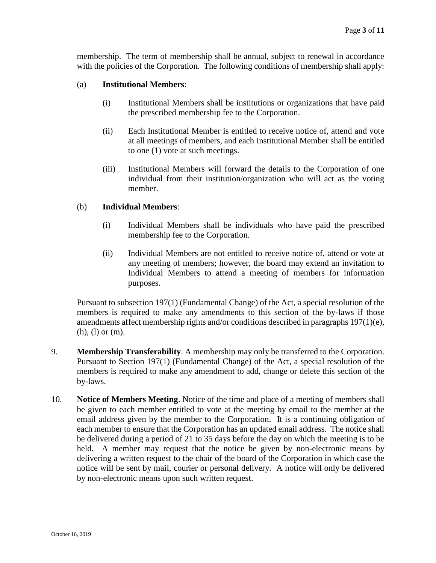membership. The term of membership shall be annual, subject to renewal in accordance with the policies of the Corporation. The following conditions of membership shall apply:

## (a) **Institutional Members**:

- (i) Institutional Members shall be institutions or organizations that have paid the prescribed membership fee to the Corporation.
- (ii) Each Institutional Member is entitled to receive notice of, attend and vote at all meetings of members, and each Institutional Member shall be entitled to one (1) vote at such meetings.
- (iii) Institutional Members will forward the details to the Corporation of one individual from their institution/organization who will act as the voting member.

## (b) **Individual Members**:

- (i) Individual Members shall be individuals who have paid the prescribed membership fee to the Corporation.
- (ii) Individual Members are not entitled to receive notice of, attend or vote at any meeting of members; however, the board may extend an invitation to Individual Members to attend a meeting of members for information purposes.

Pursuant to subsection 197(1) (Fundamental Change) of the Act, a special resolution of the members is required to make any amendments to this section of the by-laws if those amendments affect membership rights and/or conditions described in paragraphs 197(1)(e), (h), (l) or (m).

- 9. **Membership Transferability**. A membership may only be transferred to the Corporation. Pursuant to Section 197(1) (Fundamental Change) of the Act, a special resolution of the members is required to make any amendment to add, change or delete this section of the by-laws.
- 10. **Notice of Members Meeting**. Notice of the time and place of a meeting of members shall be given to each member entitled to vote at the meeting by email to the member at the email address given by the member to the Corporation. It is a continuing obligation of each member to ensure that the Corporation has an updated email address. The notice shall be delivered during a period of 21 to 35 days before the day on which the meeting is to be held. A member may request that the notice be given by non-electronic means by delivering a written request to the chair of the board of the Corporation in which case the notice will be sent by mail, courier or personal delivery. A notice will only be delivered by non-electronic means upon such written request.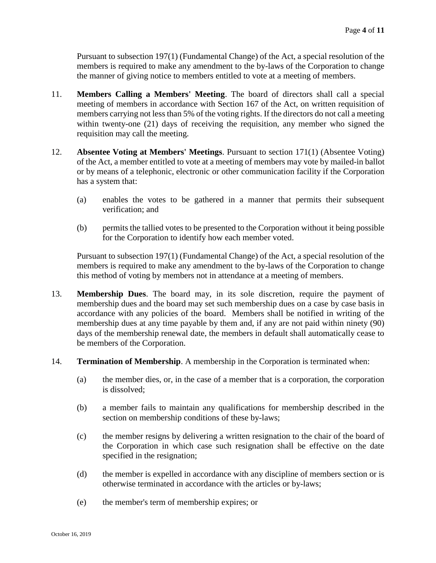Pursuant to subsection 197(1) (Fundamental Change) of the Act, a special resolution of the members is required to make any amendment to the by-laws of the Corporation to change the manner of giving notice to members entitled to vote at a meeting of members.

- 11. **Members Calling a Members' Meeting**. The board of directors shall call a special meeting of members in accordance with Section 167 of the Act, on written requisition of members carrying not less than 5% of the voting rights. If the directors do not call a meeting within twenty-one (21) days of receiving the requisition, any member who signed the requisition may call the meeting.
- 12. **Absentee Voting at Members' Meetings**. Pursuant to section 171(1) (Absentee Voting) of the Act, a member entitled to vote at a meeting of members may vote by mailed-in ballot or by means of a telephonic, electronic or other communication facility if the Corporation has a system that:
	- (a) enables the votes to be gathered in a manner that permits their subsequent verification; and
	- (b) permits the tallied votes to be presented to the Corporation without it being possible for the Corporation to identify how each member voted.

Pursuant to subsection 197(1) (Fundamental Change) of the Act, a special resolution of the members is required to make any amendment to the by-laws of the Corporation to change this method of voting by members not in attendance at a meeting of members.

- <span id="page-3-0"></span>13. **Membership Dues**. The board may, in its sole discretion, require the payment of membership dues and the board may set such membership dues on a case by case basis in accordance with any policies of the board. Members shall be notified in writing of the membership dues at any time payable by them and, if any are not paid within ninety (90) days of the membership renewal date, the members in default shall automatically cease to be members of the Corporation.
- 14. **Termination of Membership**. A membership in the Corporation is terminated when:
	- (a) the member dies, or, in the case of a member that is a corporation, the corporation is dissolved;
	- (b) a member fails to maintain any qualifications for membership described in the section on membership conditions of these by-laws;
	- (c) the member resigns by delivering a written resignation to the chair of the board of the Corporation in which case such resignation shall be effective on the date specified in the resignation;
	- (d) the member is expelled in accordance with any discipline of members section or is otherwise terminated in accordance with the articles or by-laws;
	- (e) the member's term of membership expires; or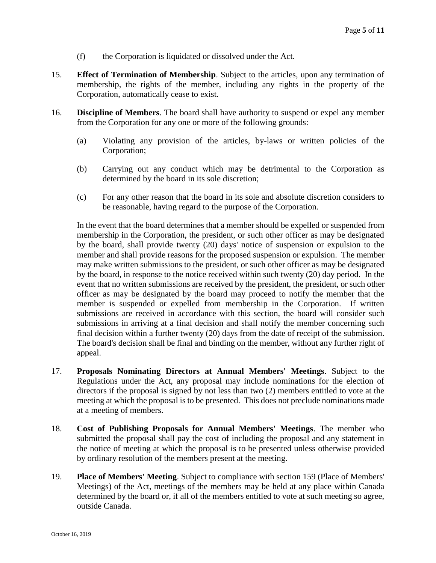- (f) the Corporation is liquidated or dissolved under the Act.
- 15. **Effect of Termination of Membership**. Subject to the articles, upon any termination of membership, the rights of the member, including any rights in the property of the Corporation, automatically cease to exist.
- 16. **Discipline of Members**. The board shall have authority to suspend or expel any member from the Corporation for any one or more of the following grounds:
	- (a) Violating any provision of the articles, by-laws or written policies of the Corporation;
	- (b) Carrying out any conduct which may be detrimental to the Corporation as determined by the board in its sole discretion;
	- (c) For any other reason that the board in its sole and absolute discretion considers to be reasonable, having regard to the purpose of the Corporation.

In the event that the board determines that a member should be expelled or suspended from membership in the Corporation, the president, or such other officer as may be designated by the board, shall provide twenty (20) days' notice of suspension or expulsion to the member and shall provide reasons for the proposed suspension or expulsion. The member may make written submissions to the president, or such other officer as may be designated by the board, in response to the notice received within such twenty (20) day period. In the event that no written submissions are received by the president, the president, or such other officer as may be designated by the board may proceed to notify the member that the member is suspended or expelled from membership in the Corporation. If written submissions are received in accordance with this section, the board will consider such submissions in arriving at a final decision and shall notify the member concerning such final decision within a further twenty (20) days from the date of receipt of the submission. The board's decision shall be final and binding on the member, without any further right of appeal.

- 17. **Proposals Nominating Directors at Annual Members' Meetings**. Subject to the Regulations under the Act, any proposal may include nominations for the election of directors if the proposal is signed by not less than two (2) members entitled to vote at the meeting at which the proposal is to be presented. This does not preclude nominations made at a meeting of members.
- 18. **Cost of Publishing Proposals for Annual Members' Meetings**. The member who submitted the proposal shall pay the cost of including the proposal and any statement in the notice of meeting at which the proposal is to be presented unless otherwise provided by ordinary resolution of the members present at the meeting.
- 19. **Place of Members' Meeting**. Subject to compliance with section 159 (Place of Members' Meetings) of the Act, meetings of the members may be held at any place within Canada determined by the board or, if all of the members entitled to vote at such meeting so agree, outside Canada.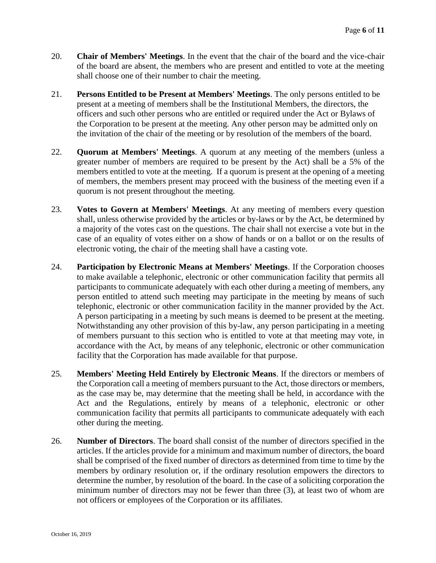- 20. **Chair of Members' Meetings**. In the event that the chair of the board and the vice-chair of the board are absent, the members who are present and entitled to vote at the meeting shall choose one of their number to chair the meeting.
- 21. **Persons Entitled to be Present at Members' Meetings**. The only persons entitled to be present at a meeting of members shall be the Institutional Members, the directors, the officers and such other persons who are entitled or required under the Act or Bylaws of the Corporation to be present at the meeting. Any other person may be admitted only on the invitation of the chair of the meeting or by resolution of the members of the board.
- 22. **Quorum at Members' Meetings**. A quorum at any meeting of the members (unless a greater number of members are required to be present by the Act) shall be a 5% of the members entitled to vote at the meeting. If a quorum is present at the opening of a meeting of members, the members present may proceed with the business of the meeting even if a quorum is not present throughout the meeting.
- 23. **Votes to Govern at Members' Meetings**. At any meeting of members every question shall, unless otherwise provided by the articles or by-laws or by the Act, be determined by a majority of the votes cast on the questions. The chair shall not exercise a vote but in the case of an equality of votes either on a show of hands or on a ballot or on the results of electronic voting, the chair of the meeting shall have a casting vote.
- 24. **Participation by Electronic Means at Members' Meetings**. If the Corporation chooses to make available a telephonic, electronic or other communication facility that permits all participants to communicate adequately with each other during a meeting of members, any person entitled to attend such meeting may participate in the meeting by means of such telephonic, electronic or other communication facility in the manner provided by the Act. A person participating in a meeting by such means is deemed to be present at the meeting. Notwithstanding any other provision of this by-law, any person participating in a meeting of members pursuant to this section who is entitled to vote at that meeting may vote, in accordance with the Act, by means of any telephonic, electronic or other communication facility that the Corporation has made available for that purpose.
- 25. **Members' Meeting Held Entirely by Electronic Means**. If the directors or members of the Corporation call a meeting of members pursuant to the Act, those directors or members, as the case may be, may determine that the meeting shall be held, in accordance with the Act and the Regulations, entirely by means of a telephonic, electronic or other communication facility that permits all participants to communicate adequately with each other during the meeting.
- 26. **Number of Directors**. The board shall consist of the number of directors specified in the articles. If the articles provide for a minimum and maximum number of directors, the board shall be comprised of the fixed number of directors as determined from time to time by the members by ordinary resolution or, if the ordinary resolution empowers the directors to determine the number, by resolution of the board. In the case of a soliciting corporation the minimum number of directors may not be fewer than three (3), at least two of whom are not officers or employees of the Corporation or its affiliates.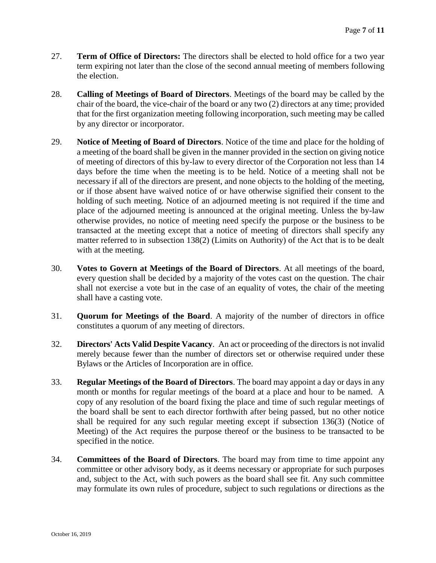- 27. **Term of Office of Directors:** The directors shall be elected to hold office for a two year term expiring not later than the close of the second annual meeting of members following the election.
- 28. **Calling of Meetings of Board of Directors**. Meetings of the board may be called by the chair of the board, the vice-chair of the board or any two (2) directors at any time; provided that for the first organization meeting following incorporation, such meeting may be called by any director or incorporator.
- 29. **Notice of Meeting of Board of Directors**. Notice of the time and place for the holding of a meeting of the board shall be given in the manner provided in the section on giving notice of meeting of directors of this by-law to every director of the Corporation not less than 14 days before the time when the meeting is to be held. Notice of a meeting shall not be necessary if all of the directors are present, and none objects to the holding of the meeting, or if those absent have waived notice of or have otherwise signified their consent to the holding of such meeting. Notice of an adjourned meeting is not required if the time and place of the adjourned meeting is announced at the original meeting. Unless the by-law otherwise provides, no notice of meeting need specify the purpose or the business to be transacted at the meeting except that a notice of meeting of directors shall specify any matter referred to in subsection 138(2) (Limits on Authority) of the Act that is to be dealt with at the meeting.
- 30. **Votes to Govern at Meetings of the Board of Directors**. At all meetings of the board, every question shall be decided by a majority of the votes cast on the question. The chair shall not exercise a vote but in the case of an equality of votes, the chair of the meeting shall have a casting vote.
- 31. **Quorum for Meetings of the Board**. A majority of the number of directors in office constitutes a quorum of any meeting of directors.
- 32. **Directors' Acts Valid Despite Vacancy**. An act or proceeding of the directors is not invalid merely because fewer than the number of directors set or otherwise required under these Bylaws or the Articles of Incorporation are in office.
- 33. **Regular Meetings of the Board of Directors**. The board may appoint a day or days in any month or months for regular meetings of the board at a place and hour to be named. A copy of any resolution of the board fixing the place and time of such regular meetings of the board shall be sent to each director forthwith after being passed, but no other notice shall be required for any such regular meeting except if subsection 136(3) (Notice of Meeting) of the Act requires the purpose thereof or the business to be transacted to be specified in the notice.
- 34. **Committees of the Board of Directors**. The board may from time to time appoint any committee or other advisory body, as it deems necessary or appropriate for such purposes and, subject to the Act, with such powers as the board shall see fit. Any such committee may formulate its own rules of procedure, subject to such regulations or directions as the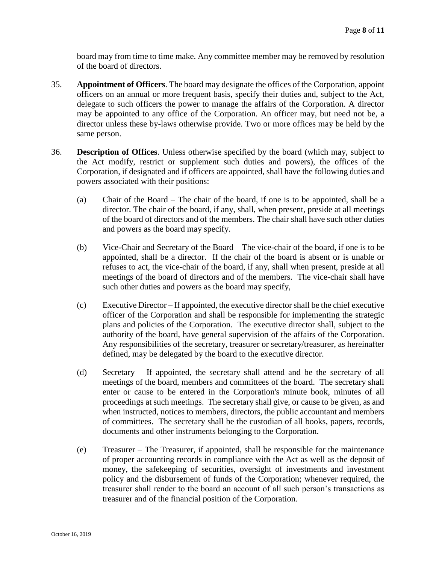board may from time to time make. Any committee member may be removed by resolution of the board of directors.

- 35. **Appointment of Officers**. The board may designate the offices of the Corporation, appoint officers on an annual or more frequent basis, specify their duties and, subject to the Act, delegate to such officers the power to manage the affairs of the Corporation. A director may be appointed to any office of the Corporation. An officer may, but need not be, a director unless these by-laws otherwise provide. Two or more offices may be held by the same person.
- 36. **Description of Offices**. Unless otherwise specified by the board (which may, subject to the Act modify, restrict or supplement such duties and powers), the offices of the Corporation, if designated and if officers are appointed, shall have the following duties and powers associated with their positions:
	- (a) Chair of the Board The chair of the board, if one is to be appointed, shall be a director. The chair of the board, if any, shall, when present, preside at all meetings of the board of directors and of the members. The chair shall have such other duties and powers as the board may specify.
	- (b) Vice-Chair and Secretary of the Board The vice-chair of the board, if one is to be appointed, shall be a director. If the chair of the board is absent or is unable or refuses to act, the vice-chair of the board, if any, shall when present, preside at all meetings of the board of directors and of the members. The vice-chair shall have such other duties and powers as the board may specify,
	- (c) Executive Director If appointed, the executive director shall be the chief executive officer of the Corporation and shall be responsible for implementing the strategic plans and policies of the Corporation. The executive director shall, subject to the authority of the board, have general supervision of the affairs of the Corporation. Any responsibilities of the secretary, treasurer or secretary/treasurer, as hereinafter defined, may be delegated by the board to the executive director.
	- (d) Secretary If appointed, the secretary shall attend and be the secretary of all meetings of the board, members and committees of the board. The secretary shall enter or cause to be entered in the Corporation's minute book, minutes of all proceedings at such meetings. The secretary shall give, or cause to be given, as and when instructed, notices to members, directors, the public accountant and members of committees. The secretary shall be the custodian of all books, papers, records, documents and other instruments belonging to the Corporation.
	- (e) Treasurer The Treasurer, if appointed, shall be responsible for the maintenance of proper accounting records in compliance with the Act as well as the deposit of money, the safekeeping of securities, oversight of investments and investment policy and the disbursement of funds of the Corporation; whenever required, the treasurer shall render to the board an account of all such person's transactions as treasurer and of the financial position of the Corporation.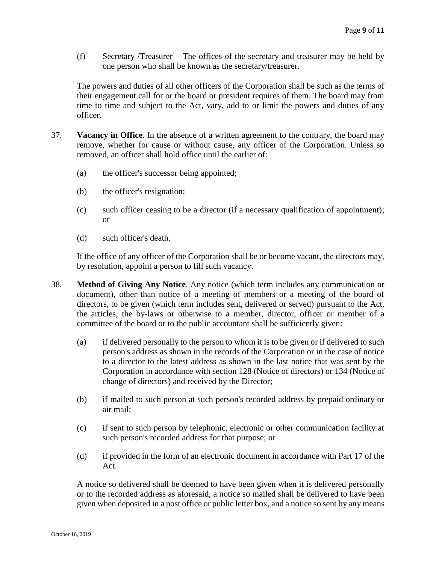(f) Secretary /Treasurer – The offices of the secretary and treasurer may be held by one person who shall be known as the secretary/treasurer.

The powers and duties of all other officers of the Corporation shall be such as the terms of their engagement call for or the board or president requires of them. The board may from time to time and subject to the Act, vary, add to or limit the powers and duties of any officer.

- 37. **Vacancy in Office**. In the absence of a written agreement to the contrary, the board may remove, whether for cause or without cause, any officer of the Corporation. Unless so removed, an officer shall hold office until the earlier of:
	- (a) the officer's successor being appointed;
	- (b) the officer's resignation;
	- (c) such officer ceasing to be a director (if a necessary qualification of appointment); or
	- (d) such officer's death.

If the office of any officer of the Corporation shall be or become vacant, the directors may, by resolution, appoint a person to fill such vacancy.

- 38. **Method of Giving Any Notice**. Any notice (which term includes any communication or document), other than notice of a meeting of members or a meeting of the board of directors, to be given (which term includes sent, delivered or served) pursuant to the Act, the articles, the by-laws or otherwise to a member, director, officer or member of a committee of the board or to the public accountant shall be sufficiently given:
	- (a) if delivered personally to the person to whom it is to be given or if delivered to such person's address as shown in the records of the Corporation or in the case of notice to a director to the latest address as shown in the last notice that was sent by the Corporation in accordance with section 128 (Notice of directors) or 134 (Notice of change of directors) and received by the Director;
	- (b) if mailed to such person at such person's recorded address by prepaid ordinary or air mail;
	- (c) if sent to such person by telephonic, electronic or other communication facility at such person's recorded address for that purpose; or
	- (d) if provided in the form of an electronic document in accordance with Part 17 of the Act.

A notice so delivered shall be deemed to have been given when it is delivered personally or to the recorded address as aforesaid, a notice so mailed shall be delivered to have been given when deposited in a post office or public letter box, and a notice so sent by any means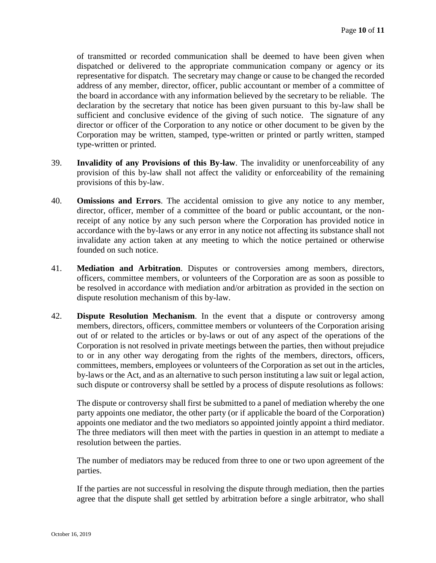of transmitted or recorded communication shall be deemed to have been given when dispatched or delivered to the appropriate communication company or agency or its representative for dispatch. The secretary may change or cause to be changed the recorded address of any member, director, officer, public accountant or member of a committee of the board in accordance with any information believed by the secretary to be reliable. The declaration by the secretary that notice has been given pursuant to this by-law shall be sufficient and conclusive evidence of the giving of such notice. The signature of any director or officer of the Corporation to any notice or other document to be given by the Corporation may be written, stamped, type-written or printed or partly written, stamped type-written or printed.

- 39. **Invalidity of any Provisions of this By-law**. The invalidity or unenforceability of any provision of this by-law shall not affect the validity or enforceability of the remaining provisions of this by-law.
- 40. **Omissions and Errors**. The accidental omission to give any notice to any member, director, officer, member of a committee of the board or public accountant, or the nonreceipt of any notice by any such person where the Corporation has provided notice in accordance with the by-laws or any error in any notice not affecting its substance shall not invalidate any action taken at any meeting to which the notice pertained or otherwise founded on such notice.
- 41. **Mediation and Arbitration**. Disputes or controversies among members, directors, officers, committee members, or volunteers of the Corporation are as soon as possible to be resolved in accordance with mediation and/or arbitration as provided in the section on dispute resolution mechanism of this by-law.
- 42. **Dispute Resolution Mechanism**. In the event that a dispute or controversy among members, directors, officers, committee members or volunteers of the Corporation arising out of or related to the articles or by-laws or out of any aspect of the operations of the Corporation is not resolved in private meetings between the parties, then without prejudice to or in any other way derogating from the rights of the members, directors, officers, committees, members, employees or volunteers of the Corporation as set out in the articles, by-laws or the Act, and as an alternative to such person instituting a law suit or legal action, such dispute or controversy shall be settled by a process of dispute resolutions as follows:

The dispute or controversy shall first be submitted to a panel of mediation whereby the one party appoints one mediator, the other party (or if applicable the board of the Corporation) appoints one mediator and the two mediators so appointed jointly appoint a third mediator. The three mediators will then meet with the parties in question in an attempt to mediate a resolution between the parties.

The number of mediators may be reduced from three to one or two upon agreement of the parties.

If the parties are not successful in resolving the dispute through mediation, then the parties agree that the dispute shall get settled by arbitration before a single arbitrator, who shall